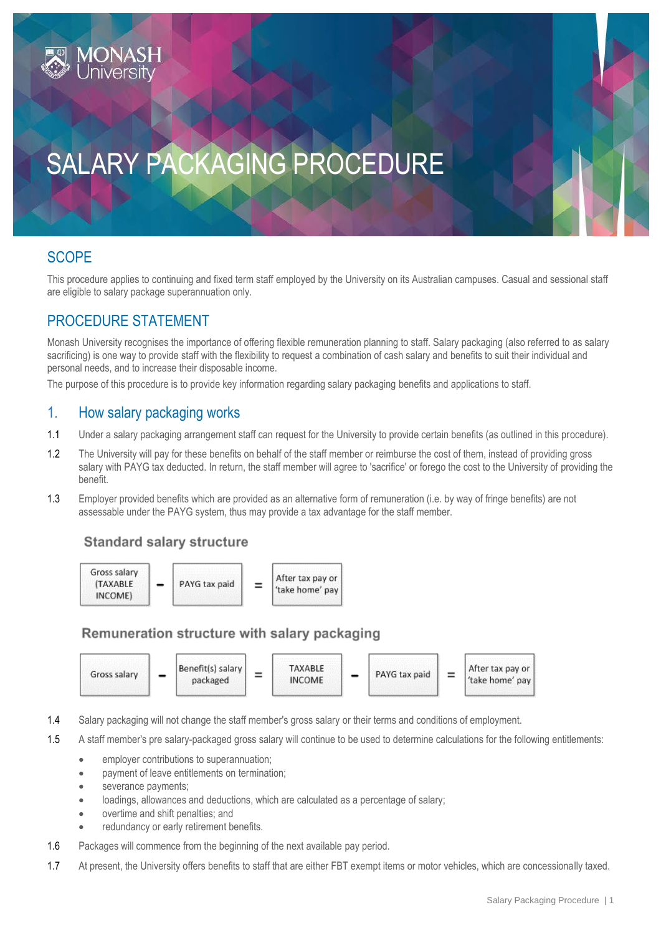# SALARY PACKAGING PROCEDURE

## **SCOPE**

This procedure applies to continuing and fixed term staff employed by the University on its Australian campuses. Casual and sessional staff are eligible to salary package superannuation only.

## PROCEDURE STATEMENT

Monash University recognises the importance of offering flexible remuneration planning to staff. Salary packaging (also referred to as salary sacrificing) is one way to provide staff with the flexibility to request a combination of cash salary and benefits to suit their individual and personal needs, and to increase their disposable income.

The purpose of this procedure is to provide key information regarding salary packaging benefits and applications to staff.

### 1. How salary packaging works

- 1.1 Under a salary packaging arrangement staff can request for the University to provide certain benefits (as outlined in this procedure).
- 1.2 The University will pay for these benefits on behalf of the staff member or reimburse the cost of them, instead of providing gross salary with PAYG tax deducted. In return, the staff member will agree to 'sacrifice' or forego the cost to the University of providing the benefit.
- 1.3 Employer provided benefits which are provided as an alternative form of remuneration (i.e. by way of fringe benefits) are not assessable under the PAYG system, thus may provide a tax advantage for the staff member.

### **Standard salary structure**



### Remuneration structure with salary packaging



- 1.4 Salary packaging will not change the staff member's gross salary or their terms and conditions of employment.
- 1.5 A staff member's pre salary-packaged gross salary will continue to be used to determine calculations for the following entitlements:
	- employer contributions to superannuation;
	- payment of leave entitlements on termination;
	- severance payments:
	- loadings, allowances and deductions, which are calculated as a percentage of salary;
	- overtime and shift penalties; and
	- redundancy or early retirement benefits.
- 1.6 Packages will commence from the beginning of the next available pay period.
- 1.7 At present, the University offers benefits to staff that are either FBT exempt items or motor vehicles, which are concessionally taxed.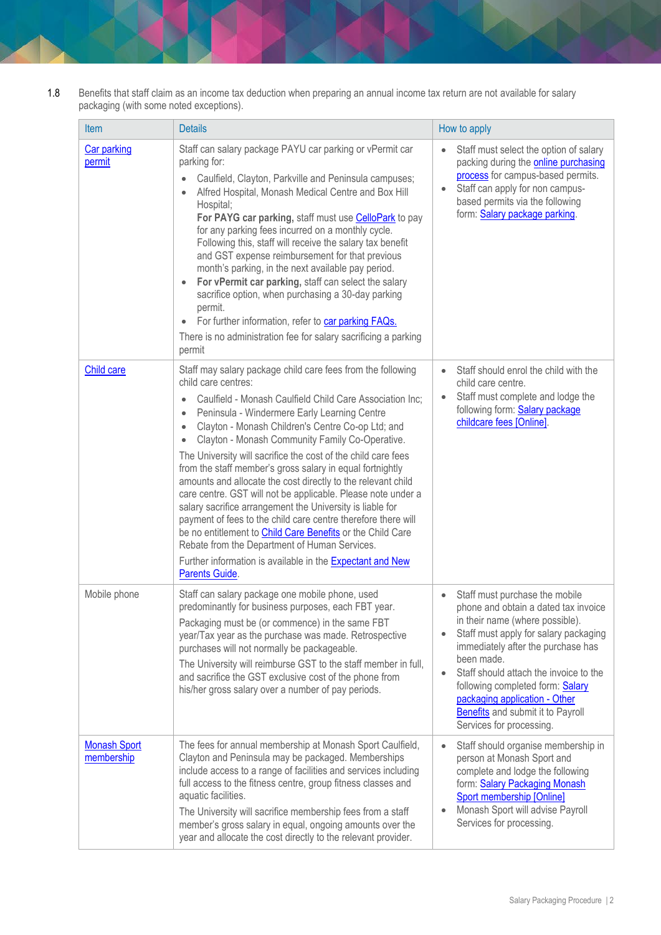1.8 Benefits that staff claim as an income tax deduction when preparing an annual income tax return are not available for salary packaging (with some noted exceptions).

| <b>Item</b>                       | <b>Details</b>                                                                                                                                                                                                                                                                                                                                                                                                                                                                                                                                                                                                                                                                                                                                                                                                                                                                                                 | How to apply                                                                                                                                                                                                                                                                                                                                                                           |
|-----------------------------------|----------------------------------------------------------------------------------------------------------------------------------------------------------------------------------------------------------------------------------------------------------------------------------------------------------------------------------------------------------------------------------------------------------------------------------------------------------------------------------------------------------------------------------------------------------------------------------------------------------------------------------------------------------------------------------------------------------------------------------------------------------------------------------------------------------------------------------------------------------------------------------------------------------------|----------------------------------------------------------------------------------------------------------------------------------------------------------------------------------------------------------------------------------------------------------------------------------------------------------------------------------------------------------------------------------------|
| Car parking<br>permit             | Staff can salary package PAYU car parking or vPermit car<br>parking for:<br>Caulfield, Clayton, Parkville and Peninsula campuses;<br>Alfred Hospital, Monash Medical Centre and Box Hill<br>Hospital;<br>For PAYG car parking, staff must use CelloPark to pay<br>for any parking fees incurred on a monthly cycle.<br>Following this, staff will receive the salary tax benefit<br>and GST expense reimbursement for that previous<br>month's parking, in the next available pay period.<br>For vPermit car parking, staff can select the salary<br>$\bullet$<br>sacrifice option, when purchasing a 30-day parking<br>permit.<br>For further information, refer to car parking FAQs.<br>There is no administration fee for salary sacrificing a parking<br>permit                                                                                                                                            | Staff must select the option of salary<br>packing during the <b>online purchasing</b><br>process for campus-based permits.<br>Staff can apply for non campus-<br>based permits via the following<br>form: Salary package parking.                                                                                                                                                      |
| Child care                        | Staff may salary package child care fees from the following<br>child care centres:<br>Caulfield - Monash Caulfield Child Care Association Inc;<br>Peninsula - Windermere Early Learning Centre<br>Clayton - Monash Children's Centre Co-op Ltd; and<br>Clayton - Monash Community Family Co-Operative.<br>The University will sacrifice the cost of the child care fees<br>from the staff member's gross salary in equal fortnightly<br>amounts and allocate the cost directly to the relevant child<br>care centre. GST will not be applicable. Please note under a<br>salary sacrifice arrangement the University is liable for<br>payment of fees to the child care centre therefore there will<br>be no entitlement to <b>Child Care Benefits</b> or the Child Care<br>Rebate from the Department of Human Services.<br>Further information is available in the <b>Expectant and New</b><br>Parents Guide. | Staff should enrol the child with the<br>child care centre.<br>Staff must complete and lodge the<br>following form: <b>Salary package</b><br>childcare fees [Online].                                                                                                                                                                                                                  |
| Mobile phone                      | Staff can salary package one mobile phone, used<br>predominantly for business purposes, each FBT year.<br>Packaging must be (or commence) in the same FBT<br>year/Tax year as the purchase was made. Retrospective<br>purchases will not normally be packageable.<br>The University will reimburse GST to the staff member in full,<br>and sacrifice the GST exclusive cost of the phone from<br>his/her gross salary over a number of pay periods.                                                                                                                                                                                                                                                                                                                                                                                                                                                            | Staff must purchase the mobile<br>phone and obtain a dated tax invoice<br>in their name (where possible).<br>Staff must apply for salary packaging<br>immediately after the purchase has<br>been made.<br>Staff should attach the invoice to the<br>following completed form: Salary<br>packaging application - Other<br>Benefits and submit it to Payroll<br>Services for processing. |
| <b>Monash Sport</b><br>membership | The fees for annual membership at Monash Sport Caulfield,<br>Clayton and Peninsula may be packaged. Memberships<br>include access to a range of facilities and services including<br>full access to the fitness centre, group fitness classes and<br>aquatic facilities.<br>The University will sacrifice membership fees from a staff<br>member's gross salary in equal, ongoing amounts over the<br>year and allocate the cost directly to the relevant provider.                                                                                                                                                                                                                                                                                                                                                                                                                                            | Staff should organise membership in<br>person at Monash Sport and<br>complete and lodge the following<br>form: Salary Packaging Monash<br>Sport membership [Online]<br>Monash Sport will advise Payroll<br>Services for processing.                                                                                                                                                    |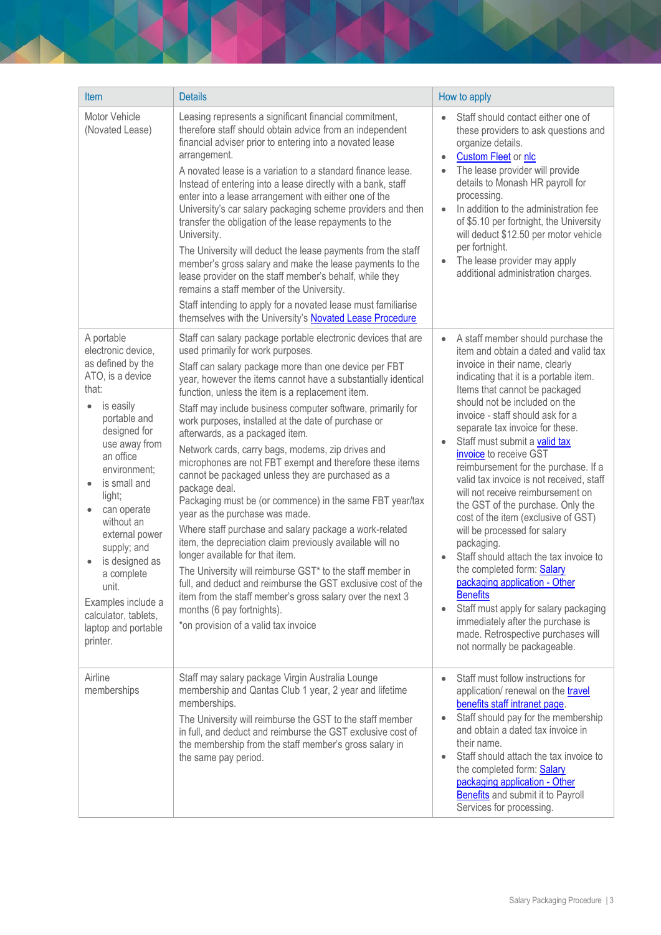| Item                                                                                                                                                                                                                                                                                                                                                                                                         | <b>Details</b>                                                                                                                                                                                                                                                                                                                                                                                                                                                                                                                                                                                                                                                                                                                                                                                                                                                                                                                                                                                                                                                                                                                                           | How to apply                                                                                                                                                                                                                                                                                                                                                                                                                                                                                                                                                                                                                                                                                                                                                                                                                                                                                                       |
|--------------------------------------------------------------------------------------------------------------------------------------------------------------------------------------------------------------------------------------------------------------------------------------------------------------------------------------------------------------------------------------------------------------|----------------------------------------------------------------------------------------------------------------------------------------------------------------------------------------------------------------------------------------------------------------------------------------------------------------------------------------------------------------------------------------------------------------------------------------------------------------------------------------------------------------------------------------------------------------------------------------------------------------------------------------------------------------------------------------------------------------------------------------------------------------------------------------------------------------------------------------------------------------------------------------------------------------------------------------------------------------------------------------------------------------------------------------------------------------------------------------------------------------------------------------------------------|--------------------------------------------------------------------------------------------------------------------------------------------------------------------------------------------------------------------------------------------------------------------------------------------------------------------------------------------------------------------------------------------------------------------------------------------------------------------------------------------------------------------------------------------------------------------------------------------------------------------------------------------------------------------------------------------------------------------------------------------------------------------------------------------------------------------------------------------------------------------------------------------------------------------|
| Motor Vehicle<br>(Novated Lease)                                                                                                                                                                                                                                                                                                                                                                             | Leasing represents a significant financial commitment,<br>therefore staff should obtain advice from an independent<br>financial adviser prior to entering into a novated lease<br>arrangement.<br>A novated lease is a variation to a standard finance lease.<br>Instead of entering into a lease directly with a bank, staff<br>enter into a lease arrangement with either one of the<br>University's car salary packaging scheme providers and then<br>transfer the obligation of the lease repayments to the<br>University.<br>The University will deduct the lease payments from the staff<br>member's gross salary and make the lease payments to the<br>lease provider on the staff member's behalf, while they<br>remains a staff member of the University.<br>Staff intending to apply for a novated lease must familiarise<br>themselves with the University's Novated Lease Procedure                                                                                                                                                                                                                                                          | Staff should contact either one of<br>these providers to ask questions and<br>organize details.<br><b>Custom Fleet or nlc</b><br>The lease provider will provide<br>details to Monash HR payroll for<br>processing.<br>In addition to the administration fee<br>$\bullet$<br>of \$5.10 per fortnight, the University<br>will deduct \$12.50 per motor vehicle<br>per fortnight.<br>The lease provider may apply<br>$\bullet$<br>additional administration charges.                                                                                                                                                                                                                                                                                                                                                                                                                                                 |
| A portable<br>electronic device,<br>as defined by the<br>ATO, is a device<br>that:<br>is easily<br>$\bullet$<br>portable and<br>designed for<br>use away from<br>an office<br>environment;<br>is small and<br>light;<br>can operate<br>without an<br>external power<br>supply; and<br>is designed as<br>a complete<br>unit.<br>Examples include a<br>calculator, tablets,<br>laptop and portable<br>printer. | Staff can salary package portable electronic devices that are<br>used primarily for work purposes.<br>Staff can salary package more than one device per FBT<br>year, however the items cannot have a substantially identical<br>function, unless the item is a replacement item.<br>Staff may include business computer software, primarily for<br>work purposes, installed at the date of purchase or<br>afterwards, as a packaged item.<br>Network cards, carry bags, modems, zip drives and<br>microphones are not FBT exempt and therefore these items<br>cannot be packaged unless they are purchased as a<br>package deal.<br>Packaging must be (or commence) in the same FBT year/tax<br>year as the purchase was made.<br>Where staff purchase and salary package a work-related<br>item, the depreciation claim previously available will no<br>longer available for that item.<br>The University will reimburse GST* to the staff member in<br>full, and deduct and reimburse the GST exclusive cost of the<br>item from the staff member's gross salary over the next 3<br>months (6 pay fortnights).<br>*on provision of a valid tax invoice | A staff member should purchase the<br>$\bullet$<br>item and obtain a dated and valid tax<br>invoice in their name, clearly<br>indicating that it is a portable item.<br>Items that cannot be packaged<br>should not be included on the<br>invoice - staff should ask for a<br>separate tax invoice for these.<br>Staff must submit a valid tax<br>invoice to receive GST<br>reimbursement for the purchase. If a<br>valid tax invoice is not received, staff<br>will not receive reimbursement on<br>the GST of the purchase. Only the<br>cost of the item (exclusive of GST)<br>will be processed for salary<br>packaging.<br>Staff should attach the tax invoice to<br>the completed form: <b>Salary</b><br>packaging application - Other<br><b>Benefits</b><br>Staff must apply for salary packaging<br>immediately after the purchase is<br>made. Retrospective purchases will<br>not normally be packageable. |
| Airline<br>memberships                                                                                                                                                                                                                                                                                                                                                                                       | Staff may salary package Virgin Australia Lounge<br>membership and Qantas Club 1 year, 2 year and lifetime<br>memberships.<br>The University will reimburse the GST to the staff member<br>in full, and deduct and reimburse the GST exclusive cost of<br>the membership from the staff member's gross salary in<br>the same pay period.                                                                                                                                                                                                                                                                                                                                                                                                                                                                                                                                                                                                                                                                                                                                                                                                                 | Staff must follow instructions for<br>$\bullet$<br>application/ renewal on the travel<br>benefits staff intranet page.<br>Staff should pay for the membership<br>and obtain a dated tax invoice in<br>their name.<br>Staff should attach the tax invoice to<br>the completed form: Salary<br>packaging application - Other<br><b>Benefits</b> and submit it to Payroll<br>Services for processing.                                                                                                                                                                                                                                                                                                                                                                                                                                                                                                                 |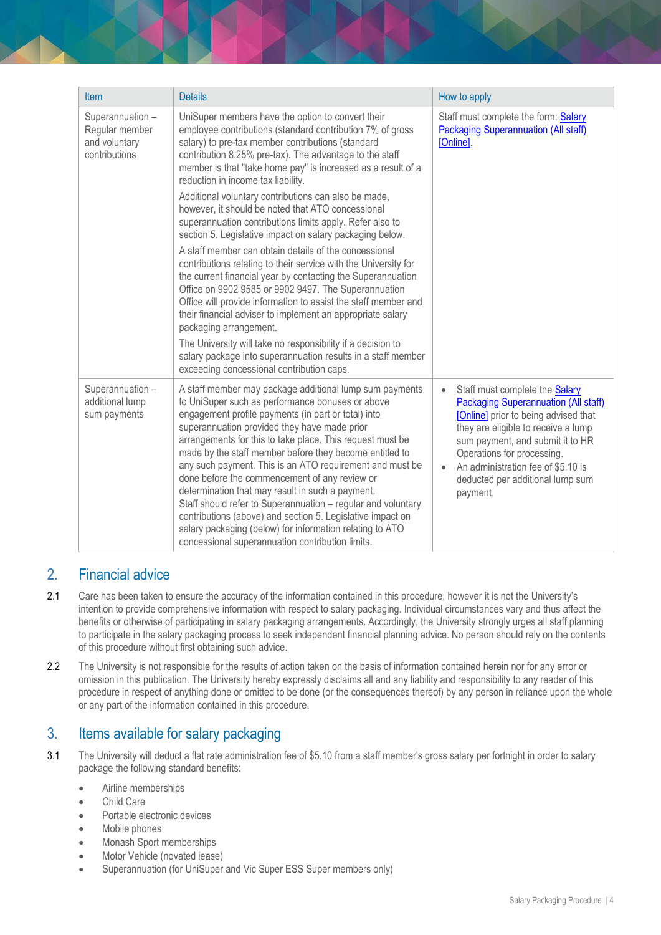| <b>Item</b>                                                          | <b>Details</b>                                                                                                                                                                                                                                                                                                                                                                                                                                                                                                                                                                                                                                                                                                                                                                                                                                                                                                                                                                                                                                                                                                                                                     | How to apply                                                                                                                                                                                                                                                                                                                             |
|----------------------------------------------------------------------|--------------------------------------------------------------------------------------------------------------------------------------------------------------------------------------------------------------------------------------------------------------------------------------------------------------------------------------------------------------------------------------------------------------------------------------------------------------------------------------------------------------------------------------------------------------------------------------------------------------------------------------------------------------------------------------------------------------------------------------------------------------------------------------------------------------------------------------------------------------------------------------------------------------------------------------------------------------------------------------------------------------------------------------------------------------------------------------------------------------------------------------------------------------------|------------------------------------------------------------------------------------------------------------------------------------------------------------------------------------------------------------------------------------------------------------------------------------------------------------------------------------------|
| Superannuation -<br>Regular member<br>and voluntary<br>contributions | UniSuper members have the option to convert their<br>employee contributions (standard contribution 7% of gross<br>salary) to pre-tax member contributions (standard<br>contribution 8.25% pre-tax). The advantage to the staff<br>member is that "take home pay" is increased as a result of a<br>reduction in income tax liability.<br>Additional voluntary contributions can also be made,<br>however, it should be noted that ATO concessional<br>superannuation contributions limits apply. Refer also to<br>section 5. Legislative impact on salary packaging below.<br>A staff member can obtain details of the concessional<br>contributions relating to their service with the University for<br>the current financial year by contacting the Superannuation<br>Office on 9902 9585 or 9902 9497. The Superannuation<br>Office will provide information to assist the staff member and<br>their financial adviser to implement an appropriate salary<br>packaging arrangement.<br>The University will take no responsibility if a decision to<br>salary package into superannuation results in a staff member<br>exceeding concessional contribution caps. | Staff must complete the form: Salary<br><b>Packaging Superannuation (All staff)</b><br>[Online].                                                                                                                                                                                                                                         |
| Superannuation -<br>additional lump<br>sum payments                  | A staff member may package additional lump sum payments<br>to UniSuper such as performance bonuses or above<br>engagement profile payments (in part or total) into<br>superannuation provided they have made prior<br>arrangements for this to take place. This request must be<br>made by the staff member before they become entitled to<br>any such payment. This is an ATO requirement and must be<br>done before the commencement of any review or<br>determination that may result in such a payment.<br>Staff should refer to Superannuation - regular and voluntary<br>contributions (above) and section 5. Legislative impact on<br>salary packaging (below) for information relating to ATO<br>concessional superannuation contribution limits.                                                                                                                                                                                                                                                                                                                                                                                                          | Staff must complete the <b>Salary</b><br>$\bullet$<br><b>Packaging Superannuation (All staff)</b><br>[Online] prior to being advised that<br>they are eligible to receive a lump<br>sum payment, and submit it to HR<br>Operations for processing.<br>An administration fee of \$5.10 is<br>deducted per additional lump sum<br>payment. |

## 2. Financial advice

- 2.1 Care has been taken to ensure the accuracy of the information contained in this procedure, however it is not the University's intention to provide comprehensive information with respect to salary packaging. Individual circumstances vary and thus affect the benefits or otherwise of participating in salary packaging arrangements. Accordingly, the University strongly urges all staff planning to participate in the salary packaging process to seek independent financial planning advice. No person should rely on the contents of this procedure without first obtaining such advice.
- 2.2 The University is not responsible for the results of action taken on the basis of information contained herein nor for any error or omission in this publication. The University hereby expressly disclaims all and any liability and responsibility to any reader of this procedure in respect of anything done or omitted to be done (or the consequences thereof) by any person in reliance upon the whole or any part of the information contained in this procedure.

## 3. Items available for salary packaging

- 3.1 The University will deduct a flat rate administration fee of \$5.10 from a staff member's gross salary per fortnight in order to salary package the following standard benefits:
	- Airline memberships
	- Child Care
	- Portable electronic devices
	- Mobile phones
	- Monash Sport memberships
	- Motor Vehicle (novated lease)
	- Superannuation (for UniSuper and Vic Super ESS Super members only)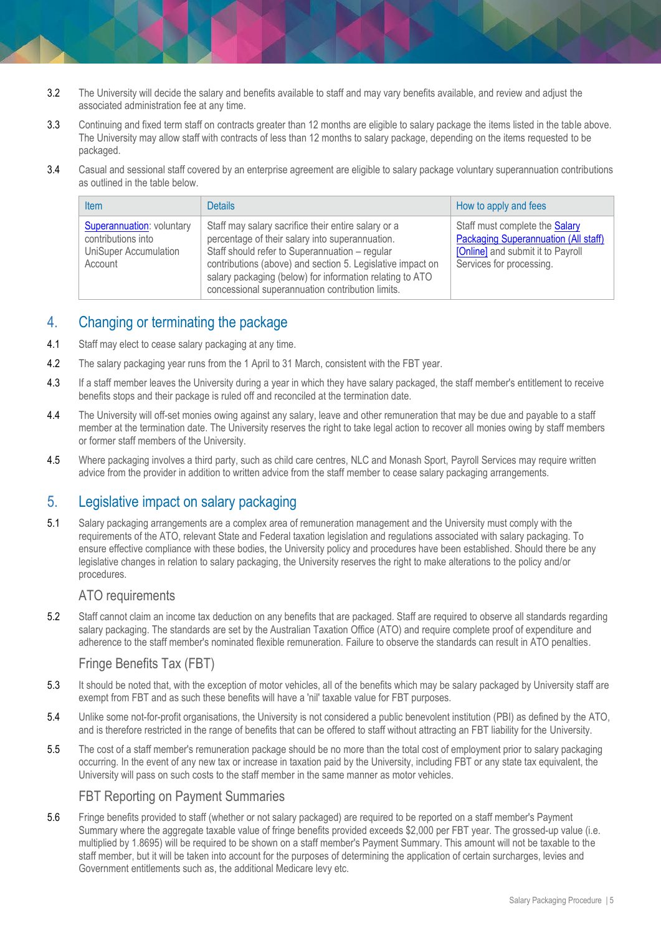- 3.2 The University will decide the salary and benefits available to staff and may vary benefits available, and review and adjust the associated administration fee at any time.
- 3.3 Continuing and fixed term staff on contracts greater than 12 months are eligible to salary package the items listed in the table above. The University may allow staff with contracts of less than 12 months to salary package, depending on the items requested to be packaged.
- 3.4 Casual and sessional staff covered by an enterprise agreement are eligible to salary package voluntary superannuation contributions as outlined in the table below.

| <b>Item</b>                                                                                | <b>Details</b>                                                                                                                                                                                                                                                                                                                         | How to apply and fees                                                                                                                          |
|--------------------------------------------------------------------------------------------|----------------------------------------------------------------------------------------------------------------------------------------------------------------------------------------------------------------------------------------------------------------------------------------------------------------------------------------|------------------------------------------------------------------------------------------------------------------------------------------------|
| Superannuation: voluntary<br>contributions into<br><b>UniSuper Accumulation</b><br>Account | Staff may salary sacrifice their entire salary or a<br>percentage of their salary into superannuation.<br>Staff should refer to Superannuation - regular<br>contributions (above) and section 5. Legislative impact on<br>salary packaging (below) for information relating to ATO<br>concessional superannuation contribution limits. | Staff must complete the Salary<br><b>Packaging Superannuation (All staff)</b><br>[Online] and submit it to Payroll<br>Services for processing. |

## 4. Changing or terminating the package

- 4.1 Staff may elect to cease salary packaging at any time.
- 4.2 The salary packaging year runs from the 1 April to 31 March, consistent with the FBT year.
- 4.3 If a staff member leaves the University during a year in which they have salary packaged, the staff member's entitlement to receive benefits stops and their package is ruled off and reconciled at the termination date.
- 4.4 The University will off-set monies owing against any salary, leave and other remuneration that may be due and payable to a staff member at the termination date. The University reserves the right to take legal action to recover all monies owing by staff members or former staff members of the University.
- 4.5 Where packaging involves a third party, such as child care centres, NLC and Monash Sport, Payroll Services may require written advice from the provider in addition to written advice from the staff member to cease salary packaging arrangements.

## 5. Legislative impact on salary packaging

5.1 Salary packaging arrangements are a complex area of remuneration management and the University must comply with the requirements of the ATO, relevant State and Federal taxation legislation and regulations associated with salary packaging. To ensure effective compliance with these bodies, the University policy and procedures have been established. Should there be any legislative changes in relation to salary packaging, the University reserves the right to make alterations to the policy and/or procedures.

### ATO requirements

5.2 Staff cannot claim an income tax deduction on any benefits that are packaged. Staff are required to observe all standards regarding salary packaging. The standards are set by the Australian Taxation Office (ATO) and require complete proof of expenditure and adherence to the staff member's nominated flexible remuneration. Failure to observe the standards can result in ATO penalties.

#### Fringe Benefits Tax (FBT)

- 5.3 It should be noted that, with the exception of motor vehicles, all of the benefits which may be salary packaged by University staff are exempt from FBT and as such these benefits will have a 'nil' taxable value for FBT purposes.
- 5.4 Unlike some not-for-profit organisations, the University is not considered a public benevolent institution (PBI) as defined by the ATO, and is therefore restricted in the range of benefits that can be offered to staff without attracting an FBT liability for the University.
- 5.5 The cost of a staff member's remuneration package should be no more than the total cost of employment prior to salary packaging occurring. In the event of any new tax or increase in taxation paid by the University, including FBT or any state tax equivalent, the University will pass on such costs to the staff member in the same manner as motor vehicles.

#### FBT Reporting on Payment Summaries

5.6 Fringe benefits provided to staff (whether or not salary packaged) are required to be reported on a staff member's Payment Summary where the aggregate taxable value of fringe benefits provided exceeds \$2,000 per FBT year. The grossed-up value (i.e. multiplied by 1.8695) will be required to be shown on a staff member's Payment Summary. This amount will not be taxable to the staff member, but it will be taken into account for the purposes of determining the application of certain surcharges, levies and Government entitlements such as, the additional Medicare levy etc.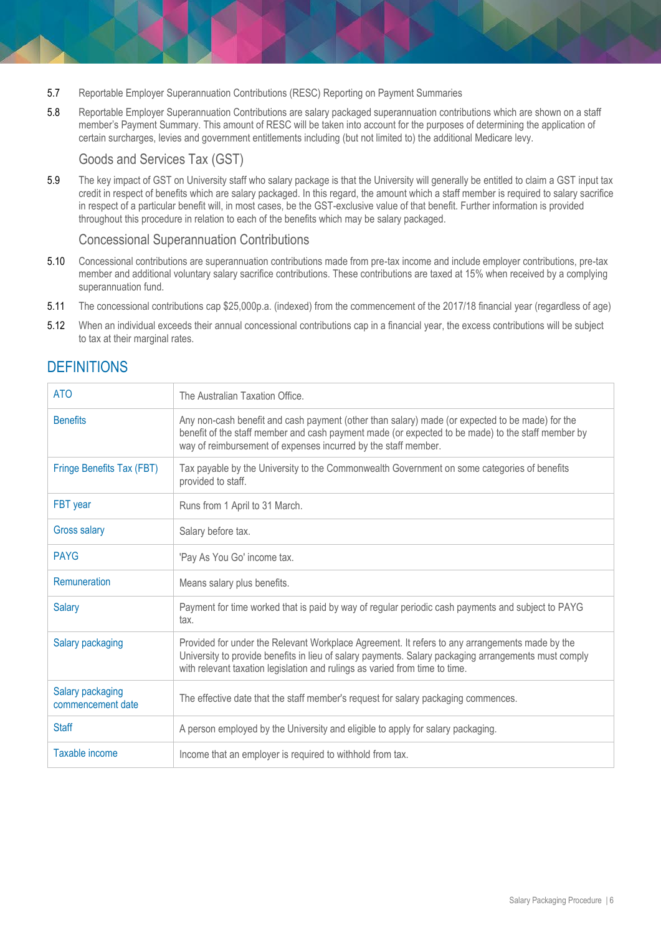- 5.7 Reportable Employer Superannuation Contributions (RESC) Reporting on Payment Summaries
- 5.8 Reportable Employer Superannuation Contributions are salary packaged superannuation contributions which are shown on a staff member's Payment Summary. This amount of RESC will be taken into account for the purposes of determining the application of certain surcharges, levies and government entitlements including (but not limited to) the additional Medicare levy.

#### Goods and Services Tax (GST)

5.9 The key impact of GST on University staff who salary package is that the University will generally be entitled to claim a GST input tax credit in respect of benefits which are salary packaged. In this regard, the amount which a staff member is required to salary sacrifice in respect of a particular benefit will, in most cases, be the GST-exclusive value of that benefit. Further information is provided throughout this procedure in relation to each of the benefits which may be salary packaged.

#### Concessional Superannuation Contributions

- 5.10 Concessional contributions are superannuation contributions made from pre-tax income and include employer contributions, pre-tax member and additional voluntary salary sacrifice contributions. These contributions are taxed at 15% when received by a complying superannuation fund.
- 5.11 The concessional contributions cap \$25,000p.a. (indexed) from the commencement of the 2017/18 financial year (regardless of age)
- 5.12 When an individual exceeds their annual concessional contributions cap in a financial year, the excess contributions will be subject to tax at their marginal rates.

## **DEFINITIONS**

| <b>ATO</b>                            | The Australian Taxation Office.                                                                                                                                                                                                                                                       |
|---------------------------------------|---------------------------------------------------------------------------------------------------------------------------------------------------------------------------------------------------------------------------------------------------------------------------------------|
| <b>Benefits</b>                       | Any non-cash benefit and cash payment (other than salary) made (or expected to be made) for the<br>benefit of the staff member and cash payment made (or expected to be made) to the staff member by<br>way of reimbursement of expenses incurred by the staff member.                |
| Fringe Benefits Tax (FBT)             | Tax payable by the University to the Commonwealth Government on some categories of benefits<br>provided to staff.                                                                                                                                                                     |
| FBT year                              | Runs from 1 April to 31 March.                                                                                                                                                                                                                                                        |
| <b>Gross salary</b>                   | Salary before tax.                                                                                                                                                                                                                                                                    |
| <b>PAYG</b>                           | 'Pay As You Go' income tax.                                                                                                                                                                                                                                                           |
| Remuneration                          | Means salary plus benefits.                                                                                                                                                                                                                                                           |
| <b>Salary</b>                         | Payment for time worked that is paid by way of regular periodic cash payments and subject to PAYG<br>tax.                                                                                                                                                                             |
| Salary packaging                      | Provided for under the Relevant Workplace Agreement. It refers to any arrangements made by the<br>University to provide benefits in lieu of salary payments. Salary packaging arrangements must comply<br>with relevant taxation legislation and rulings as varied from time to time. |
| Salary packaging<br>commencement date | The effective date that the staff member's request for salary packaging commences.                                                                                                                                                                                                    |
| <b>Staff</b>                          | A person employed by the University and eligible to apply for salary packaging.                                                                                                                                                                                                       |
| Taxable income                        | Income that an employer is required to withhold from tax.                                                                                                                                                                                                                             |